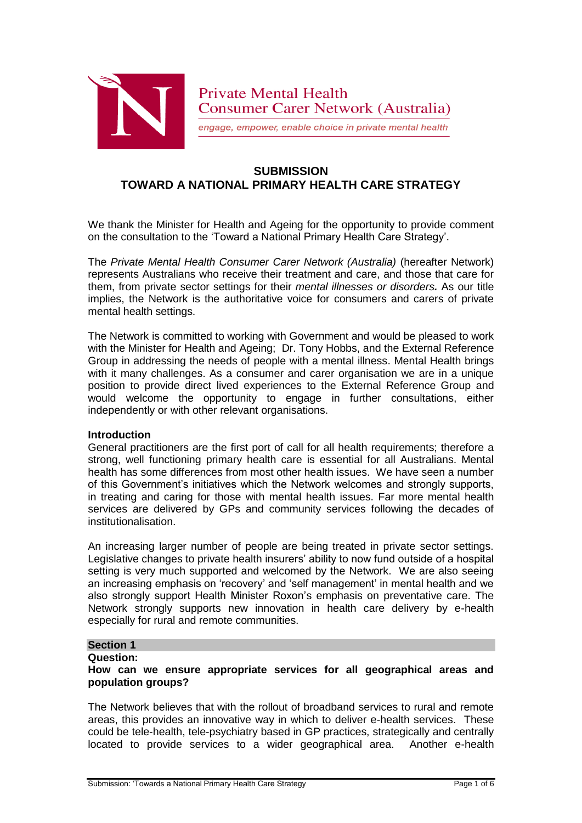

engage, empower, enable choice in private mental health

# **SUBMISSION TOWARD A NATIONAL PRIMARY HEALTH CARE STRATEGY**

We thank the Minister for Health and Ageing for the opportunity to provide comment on the consultation to the 'Toward a National Primary Health Care Strategy'.

The *Private Mental Health Consumer Carer Network (Australia)* (hereafter Network) represents Australians who receive their treatment and care, and those that care for them, from private sector settings for their *mental illnesses or disorders.* As our title implies, the Network is the authoritative voice for consumers and carers of private mental health settings.

The Network is committed to working with Government and would be pleased to work with the Minister for Health and Ageing; Dr. Tony Hobbs, and the External Reference Group in addressing the needs of people with a mental illness. Mental Health brings with it many challenges. As a consumer and carer organisation we are in a unique position to provide direct lived experiences to the External Reference Group and would welcome the opportunity to engage in further consultations, either independently or with other relevant organisations.

#### **Introduction**

General practitioners are the first port of call for all health requirements; therefore a strong, well functioning primary health care is essential for all Australians. Mental health has some differences from most other health issues. We have seen a number of this Government's initiatives which the Network welcomes and strongly supports, in treating and caring for those with mental health issues. Far more mental health services are delivered by GPs and community services following the decades of institutionalisation.

An increasing larger number of people are being treated in private sector settings. Legislative changes to private health insurers' ability to now fund outside of a hospital setting is very much supported and welcomed by the Network. We are also seeing an increasing emphasis on 'recovery' and 'self management' in mental health and we also strongly support Health Minister Roxon's emphasis on preventative care. The Network strongly supports new innovation in health care delivery by e-health especially for rural and remote communities.

# **Section 1**

#### **Question:**

## **How can we ensure appropriate services for all geographical areas and population groups?**

The Network believes that with the rollout of broadband services to rural and remote areas, this provides an innovative way in which to deliver e-health services. These could be tele-health, tele-psychiatry based in GP practices, strategically and centrally located to provide services to a wider geographical area. Another e-health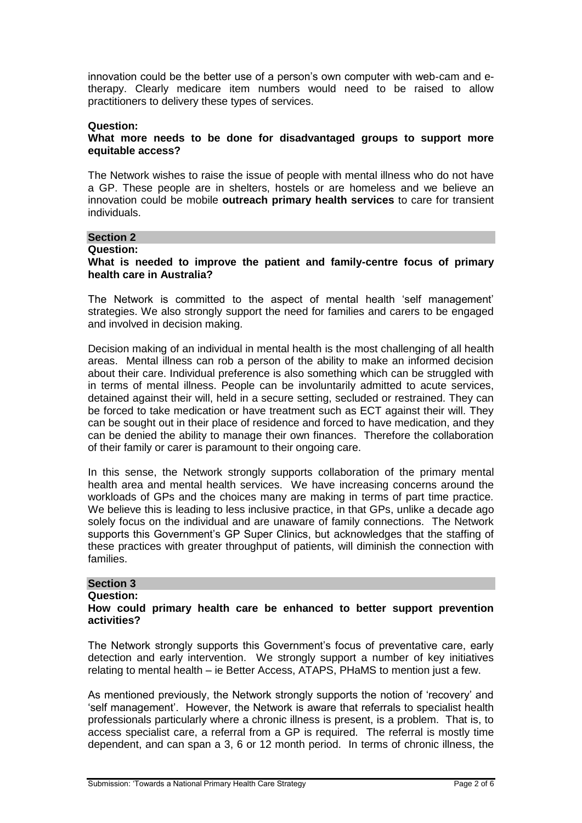innovation could be the better use of a person's own computer with web-cam and etherapy. Clearly medicare item numbers would need to be raised to allow practitioners to delivery these types of services.

#### **Question:**

#### **What more needs to be done for disadvantaged groups to support more equitable access?**

The Network wishes to raise the issue of people with mental illness who do not have a GP. These people are in shelters, hostels or are homeless and we believe an innovation could be mobile **outreach primary health services** to care for transient individuals.

#### **Section 2**

#### **Question:**

## **What is needed to improve the patient and family-centre focus of primary health care in Australia?**

The Network is committed to the aspect of mental health 'self management' strategies. We also strongly support the need for families and carers to be engaged and involved in decision making.

Decision making of an individual in mental health is the most challenging of all health areas. Mental illness can rob a person of the ability to make an informed decision about their care. Individual preference is also something which can be struggled with in terms of mental illness. People can be involuntarily admitted to acute services, detained against their will, held in a secure setting, secluded or restrained. They can be forced to take medication or have treatment such as ECT against their will. They can be sought out in their place of residence and forced to have medication, and they can be denied the ability to manage their own finances. Therefore the collaboration of their family or carer is paramount to their ongoing care.

In this sense, the Network strongly supports collaboration of the primary mental health area and mental health services. We have increasing concerns around the workloads of GPs and the choices many are making in terms of part time practice. We believe this is leading to less inclusive practice, in that GPs, unlike a decade ago solely focus on the individual and are unaware of family connections. The Network supports this Government's GP Super Clinics, but acknowledges that the staffing of these practices with greater throughput of patients, will diminish the connection with families.

# **Section 3**

#### **Question:**

## **How could primary health care be enhanced to better support prevention activities?**

The Network strongly supports this Government's focus of preventative care, early detection and early intervention. We strongly support a number of key initiatives relating to mental health – ie Better Access, ATAPS, PHaMS to mention just a few.

As mentioned previously, the Network strongly supports the notion of 'recovery' and 'self management'. However, the Network is aware that referrals to specialist health professionals particularly where a chronic illness is present, is a problem. That is, to access specialist care, a referral from a GP is required. The referral is mostly time dependent, and can span a 3, 6 or 12 month period. In terms of chronic illness, the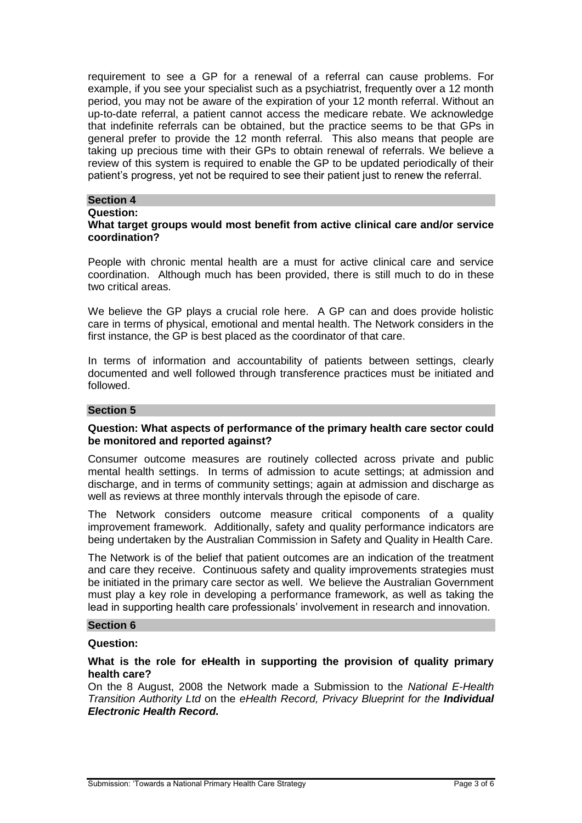requirement to see a GP for a renewal of a referral can cause problems. For example, if you see your specialist such as a psychiatrist, frequently over a 12 month period, you may not be aware of the expiration of your 12 month referral. Without an up-to-date referral, a patient cannot access the medicare rebate. We acknowledge that indefinite referrals can be obtained, but the practice seems to be that GPs in general prefer to provide the 12 month referral. This also means that people are taking up precious time with their GPs to obtain renewal of referrals. We believe a review of this system is required to enable the GP to be updated periodically of their patient's progress, yet not be required to see their patient just to renew the referral.

## **Section 4**

#### **Question:**

## **What target groups would most benefit from active clinical care and/or service coordination?**

People with chronic mental health are a must for active clinical care and service coordination. Although much has been provided, there is still much to do in these two critical areas.

We believe the GP plays a crucial role here. A GP can and does provide holistic care in terms of physical, emotional and mental health. The Network considers in the first instance, the GP is best placed as the coordinator of that care.

In terms of information and accountability of patients between settings, clearly documented and well followed through transference practices must be initiated and followed.

#### **Section 5**

#### **Question: What aspects of performance of the primary health care sector could be monitored and reported against?**

Consumer outcome measures are routinely collected across private and public mental health settings. In terms of admission to acute settings; at admission and discharge, and in terms of community settings; again at admission and discharge as well as reviews at three monthly intervals through the episode of care.

The Network considers outcome measure critical components of a quality improvement framework. Additionally, safety and quality performance indicators are being undertaken by the Australian Commission in Safety and Quality in Health Care.

The Network is of the belief that patient outcomes are an indication of the treatment and care they receive. Continuous safety and quality improvements strategies must be initiated in the primary care sector as well. We believe the Australian Government must play a key role in developing a performance framework, as well as taking the lead in supporting health care professionals' involvement in research and innovation.

# **Section 6**

## **Question:**

## **What is the role for eHealth in supporting the provision of quality primary health care?**

On the 8 August, 2008 the Network made a Submission to the *National E-Health Transition Authority Ltd* on the *eHealth Record, Privacy Blueprint for the Individual Electronic Health Record.*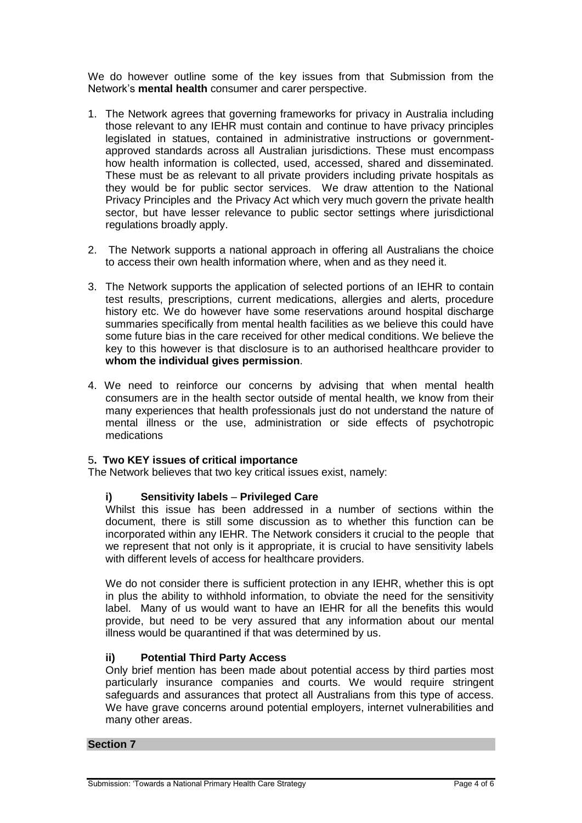We do however outline some of the key issues from that Submission from the Network's **mental health** consumer and carer perspective.

- 1. The Network agrees that governing frameworks for privacy in Australia including those relevant to any IEHR must contain and continue to have privacy principles legislated in statues, contained in administrative instructions or governmentapproved standards across all Australian jurisdictions. These must encompass how health information is collected, used, accessed, shared and disseminated. These must be as relevant to all private providers including private hospitals as they would be for public sector services. We draw attention to the National Privacy Principles and the Privacy Act which very much govern the private health sector, but have lesser relevance to public sector settings where jurisdictional regulations broadly apply.
- 2. The Network supports a national approach in offering all Australians the choice to access their own health information where, when and as they need it.
- 3. The Network supports the application of selected portions of an IEHR to contain test results, prescriptions, current medications, allergies and alerts, procedure history etc. We do however have some reservations around hospital discharge summaries specifically from mental health facilities as we believe this could have some future bias in the care received for other medical conditions. We believe the key to this however is that disclosure is to an authorised healthcare provider to **whom the individual gives permission**.
- 4. We need to reinforce our concerns by advising that when mental health consumers are in the health sector outside of mental health, we know from their many experiences that health professionals just do not understand the nature of mental illness or the use, administration or side effects of psychotropic medications

# 5**. Two KEY issues of critical importance**

The Network believes that two key critical issues exist, namely:

#### **i) Sensitivity labels** – **Privileged Care**

Whilst this issue has been addressed in a number of sections within the document, there is still some discussion as to whether this function can be incorporated within any IEHR. The Network considers it crucial to the people that we represent that not only is it appropriate, it is crucial to have sensitivity labels with different levels of access for healthcare providers.

We do not consider there is sufficient protection in any IEHR, whether this is opt in plus the ability to withhold information, to obviate the need for the sensitivity label. Many of us would want to have an IEHR for all the benefits this would provide, but need to be very assured that any information about our mental illness would be quarantined if that was determined by us.

#### **ii) Potential Third Party Access**

Only brief mention has been made about potential access by third parties most particularly insurance companies and courts. We would require stringent safeguards and assurances that protect all Australians from this type of access. We have grave concerns around potential employers, internet vulnerabilities and many other areas.

## **Section 7**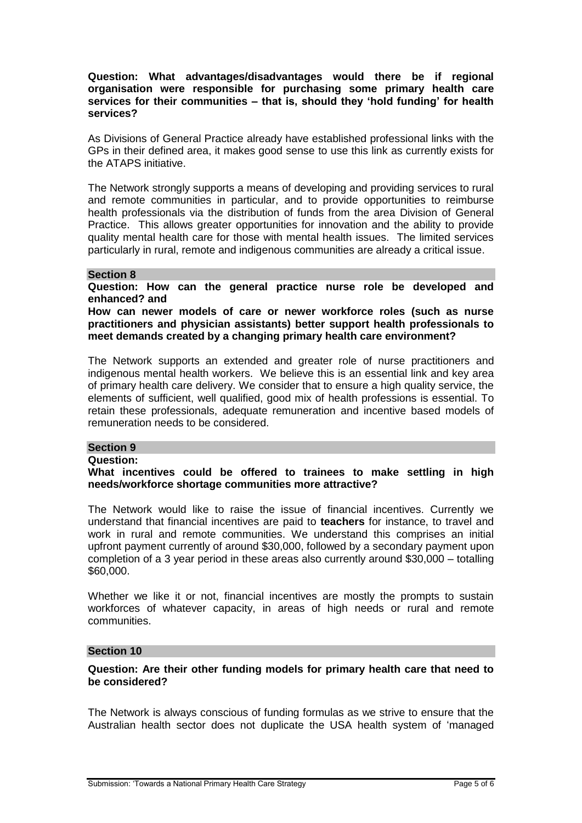## **Question: What advantages/disadvantages would there be if regional organisation were responsible for purchasing some primary health care services for their communities – that is, should they 'hold funding' for health services?**

As Divisions of General Practice already have established professional links with the GPs in their defined area, it makes good sense to use this link as currently exists for the ATAPS initiative.

The Network strongly supports a means of developing and providing services to rural and remote communities in particular, and to provide opportunities to reimburse health professionals via the distribution of funds from the area Division of General Practice. This allows greater opportunities for innovation and the ability to provide quality mental health care for those with mental health issues. The limited services particularly in rural, remote and indigenous communities are already a critical issue.

## **Section 8**

**Question: How can the general practice nurse role be developed and enhanced? and**

**How can newer models of care or newer workforce roles (such as nurse practitioners and physician assistants) better support health professionals to meet demands created by a changing primary health care environment?**

The Network supports an extended and greater role of nurse practitioners and indigenous mental health workers. We believe this is an essential link and key area of primary health care delivery. We consider that to ensure a high quality service, the elements of sufficient, well qualified, good mix of health professions is essential. To retain these professionals, adequate remuneration and incentive based models of remuneration needs to be considered.

## **Section 9**

#### **Question:**

**What incentives could be offered to trainees to make settling in high needs/workforce shortage communities more attractive?**

The Network would like to raise the issue of financial incentives. Currently we understand that financial incentives are paid to **teachers** for instance, to travel and work in rural and remote communities. We understand this comprises an initial upfront payment currently of around \$30,000, followed by a secondary payment upon completion of a 3 year period in these areas also currently around \$30,000 – totalling \$60,000.

Whether we like it or not, financial incentives are mostly the prompts to sustain workforces of whatever capacity, in areas of high needs or rural and remote communities.

## **Section 10**

## **Question: Are their other funding models for primary health care that need to be considered?**

The Network is always conscious of funding formulas as we strive to ensure that the Australian health sector does not duplicate the USA health system of 'managed